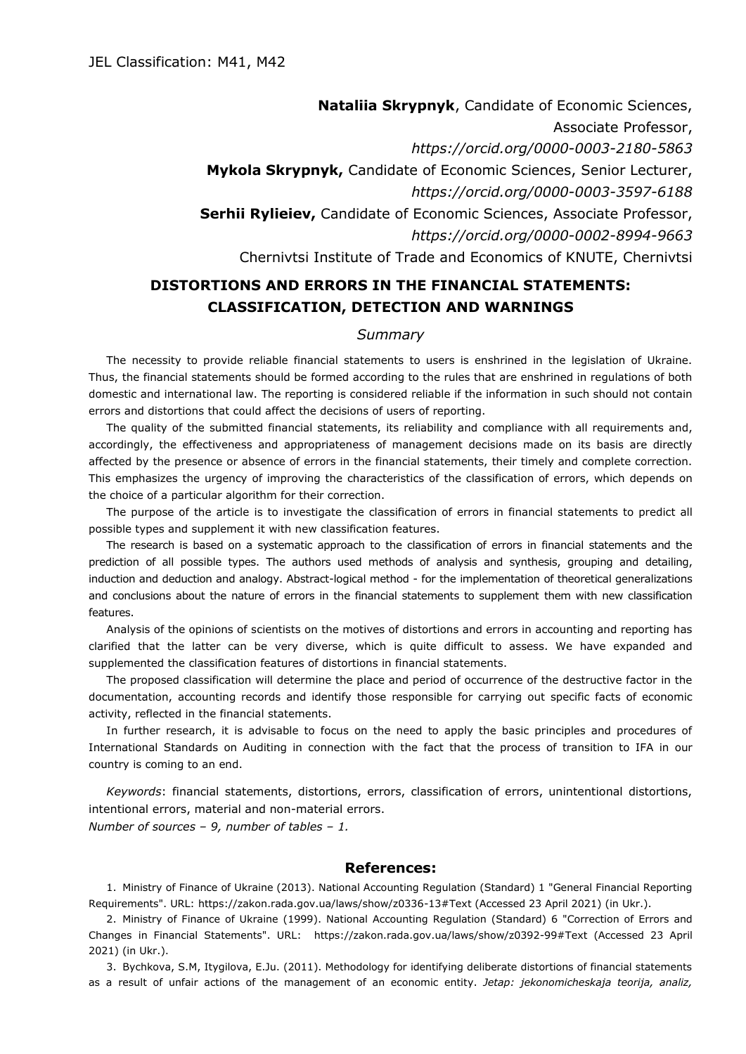**Nataliia Skrypnyk**, Candidate of Economic Sciences, Associate Professor, *https://orcid.org/0000-0003-2180-5863* **Mykola Skrypnyk,** Candidate of Economic Sciences, Senior Lecturer, *https://orcid.org/0000-0003-3597-6188* **Serhii Rylieiev,** Candidate of Economic Sciences, Associate Professor, *https://orcid.org/0000-0002-8994-9663* Chernivtsi Institute of Trade and Economics of KNUTE, Chernivtsi

## **DISTORTIONS AND ERRORS IN THE FINANCIAL STATEMENTS: CLASSIFICATION, DETECTION AND WARNINGS**

## *Summary*

The necessity to provide reliable financial statements to users is enshrined in the legislation of Ukraine. Thus, the financial statements should be formed according to the rules that are enshrined in regulations of both domestic and international law. The reporting is considered reliable if the information in such should not contain errors and distortions that could affect the decisions of users of reporting.

The quality of the submitted financial statements, its reliability and compliance with all requirements and, accordingly, the effectiveness and appropriateness of management decisions made on its basis are directly affected by the presence or absence of errors in the financial statements, their timely and complete correction. This emphasizes the urgency of improving the characteristics of the classification of errors, which depends on the choice of a particular algorithm for their correction.

The purpose of the article is to investigate the classification of errors in financial statements to predict all possible types and supplement it with new classification features.

The research is based on a systematic approach to the classification of errors in financial statements and the prediction of all possible types. The authors used methods of analysis and synthesis, grouping and detailing, induction and deduction and analogy. Abstract-logical method - for the implementation of theoretical generalizations and conclusions about the nature of errors in the financial statements to supplement them with new classification features.

Analysis of the opinions of scientists on the motives of distortions and errors in accounting and reporting has clarified that the latter can be very diverse, which is quite difficult to assess. We have expanded and supplemented the classification features of distortions in financial statements.

The proposed classification will determine the place and period of occurrence of the destructive factor in the documentation, accounting records and identify those responsible for carrying out specific facts of economic activity, reflected in the financial statements.

In further research, it is advisable to focus on the need to apply the basic principles and procedures of International Standards on Auditing in connection with the fact that the process of transition to IFA in our country is coming to an end.

*Keywords*: financial statements, distortions, errors, classification of errors, unintentional distortions, intentional errors, material and non-material errors. *Number of sources – 9, number of tables – 1.*

## **References:**

1. Ministry of Finance of Ukraine (2013). National Accounting Regulation (Standard) 1 "General Financial Reporting Requirements". URL: https://zakon.rada.gov.ua/laws/show/z0336-13#Text (Accessed 23 April 2021) (in Ukr.).

2. Ministry of Finance of Ukraine (1999). National Accounting Regulation (Standard) 6 "Correction of Errors and Changes in Financial Statements". URL: https://zakon.rada.gov.ua/laws/show/z0392-99#Text (Accessed 23 April 2021) (in Ukr.).

3. Bychkova, S.M, Itygilova, E.Ju. (2011). Methodology for identifying deliberate distortions of financial statements as a result of unfair actions of the management of an economic entity. *Jetap: jekonomicheskaja teorija, analiz,*